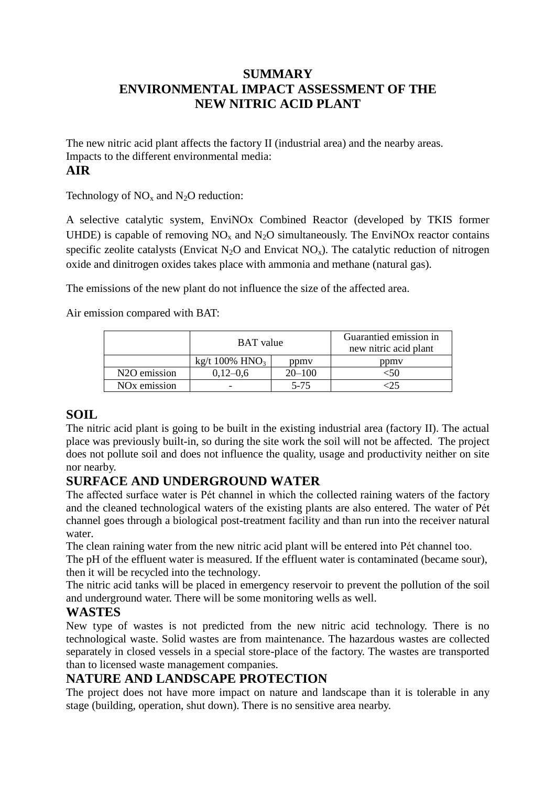# **SUMMARY ENVIRONMENTAL IMPACT ASSESSMENT OF THE NEW NITRIC ACID PLANT**

The new nitric acid plant affects the factory II (industrial area) and the nearby areas. Impacts to the different environmental media: **AIR**

Technology of  $NO<sub>x</sub>$  and  $N<sub>2</sub>O$  reduction:

A selective catalytic system, EnviNOx Combined Reactor (developed by TKIS former UHDE) is capable of removing  $NO<sub>x</sub>$  and  $N<sub>2</sub>O$  simultaneously. The EnviNOx reactor contains specific zeolite catalysts (Envicat N<sub>2</sub>O and Envicat NO<sub>x</sub>). The catalytic reduction of nitrogen oxide and dinitrogen oxides takes place with ammonia and methane (natural gas).

The emissions of the new plant do not influence the size of the affected area.

Air emission compared with BAT:

|                           | <b>BAT</b> value |            | Guarantied emission in<br>new nitric acid plant |
|---------------------------|------------------|------------|-------------------------------------------------|
|                           | kg/t 100% $HNO3$ | ppmy       | ppmy                                            |
| N <sub>2</sub> O emission | $0.12 - 0.6$     | $20 - 100$ |                                                 |
| NO <sub>x</sub> emission  |                  | 5-75       |                                                 |

#### **SOIL**

The nitric acid plant is going to be built in the existing industrial area (factory II). The actual place was previously built-in, so during the site work the soil will not be affected. The project does not pollute soil and does not influence the quality, usage and productivity neither on site nor nearby.

#### **SURFACE AND UNDERGROUND WATER**

The affected surface water is Pét channel in which the collected raining waters of the factory and the cleaned technological waters of the existing plants are also entered. The water of Pét channel goes through a biological post-treatment facility and than run into the receiver natural water.

The clean raining water from the new nitric acid plant will be entered into Pét channel too.

The pH of the effluent water is measured. If the effluent water is contaminated (became sour), then it will be recycled into the technology.

The nitric acid tanks will be placed in emergency reservoir to prevent the pollution of the soil and underground water. There will be some monitoring wells as well.

#### **WASTES**

New type of wastes is not predicted from the new nitric acid technology. There is no technological waste. Solid wastes are from maintenance. The hazardous wastes are collected separately in closed vessels in a special store-place of the factory. The wastes are transported than to licensed waste management companies.

# **NATURE AND LANDSCAPE PROTECTION**

The project does not have more impact on nature and landscape than it is tolerable in any stage (building, operation, shut down). There is no sensitive area nearby.